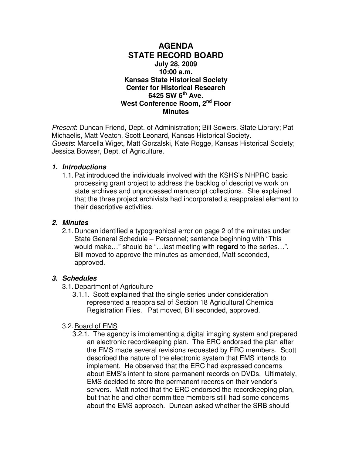### **AGENDA STATE RECORD BOARD July 28, 2009 10:00 a.m. Kansas State Historical Society Center for Historical Research 6425 SW 6th Ave. West Conference Room, 2nd Floor Minutes**

Present: Duncan Friend, Dept. of Administration; Bill Sowers, State Library; Pat Michaelis, Matt Veatch, Scott Leonard, Kansas Historical Society. Guests: Marcella Wiget, Matt Gorzalski, Kate Rogge, Kansas Historical Society; Jessica Bowser, Dept. of Agriculture.

#### **1. Introductions**

1.1. Pat introduced the individuals involved with the KSHS's NHPRC basic processing grant project to address the backlog of descriptive work on state archives and unprocessed manuscript collections. She explained that the three project archivists had incorporated a reappraisal element to their descriptive activities.

### **2. Minutes**

2.1. Duncan identified a typographical error on page 2 of the minutes under State General Schedule – Personnel; sentence beginning with "This would make…" should be "…last meeting with **regard** to the series…". Bill moved to approve the minutes as amended, Matt seconded, approved.

# **3. Schedules**

- 3.1. Department of Agriculture
	- 3.1.1. Scott explained that the single series under consideration represented a reappraisal of Section 18 Agricultural Chemical Registration Files. Pat moved, Bill seconded, approved.

# 3.2. Board of EMS

3.2.1. The agency is implementing a digital imaging system and prepared an electronic recordkeeping plan. The ERC endorsed the plan after the EMS made several revisions requested by ERC members. Scott described the nature of the electronic system that EMS intends to implement. He observed that the ERC had expressed concerns about EMS's intent to store permanent records on DVDs. Ultimately, EMS decided to store the permanent records on their vendor's servers. Matt noted that the ERC endorsed the recordkeeping plan, but that he and other committee members still had some concerns about the EMS approach. Duncan asked whether the SRB should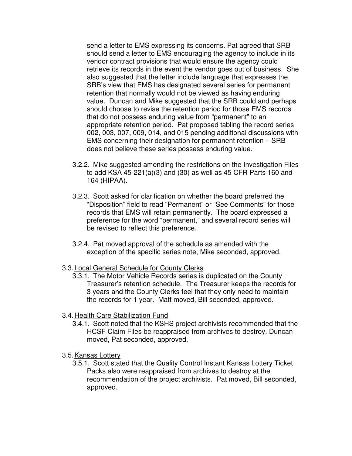send a letter to EMS expressing its concerns. Pat agreed that SRB should send a letter to EMS encouraging the agency to include in its vendor contract provisions that would ensure the agency could retrieve its records in the event the vendor goes out of business. She also suggested that the letter include language that expresses the SRB's view that EMS has designated several series for permanent retention that normally would not be viewed as having enduring value. Duncan and Mike suggested that the SRB could and perhaps should choose to revise the retention period for those EMS records that do not possess enduring value from "permanent" to an appropriate retention period. Pat proposed tabling the record series 002, 003, 007, 009, 014, and 015 pending additional discussions with EMS concerning their designation for permanent retention – SRB does not believe these series possess enduring value.

- 3.2.2. Mike suggested amending the restrictions on the Investigation Files to add KSA 45-221(a)(3) and (30) as well as 45 CFR Parts 160 and 164 (HIPAA).
- 3.2.3. Scott asked for clarification on whether the board preferred the "Disposition" field to read "Permanent" or "See Comments" for those records that EMS will retain permanently. The board expressed a preference for the word "permanent," and several record series will be revised to reflect this preference.
- 3.2.4. Pat moved approval of the schedule as amended with the exception of the specific series note, Mike seconded, approved.
- 3.3. Local General Schedule for County Clerks
	- 3.3.1. The Motor Vehicle Records series is duplicated on the County Treasurer's retention schedule. The Treasurer keeps the records for 3 years and the County Clerks feel that they only need to maintain the records for 1 year. Matt moved, Bill seconded, approved.

# 3.4. Health Care Stabilization Fund

3.4.1. Scott noted that the KSHS project archivists recommended that the HCSF Claim Files be reappraised from archives to destroy. Duncan moved, Pat seconded, approved.

#### 3.5. Kansas Lottery

3.5.1. Scott stated that the Quality Control Instant Kansas Lottery Ticket Packs also were reappraised from archives to destroy at the recommendation of the project archivists. Pat moved, Bill seconded, approved.